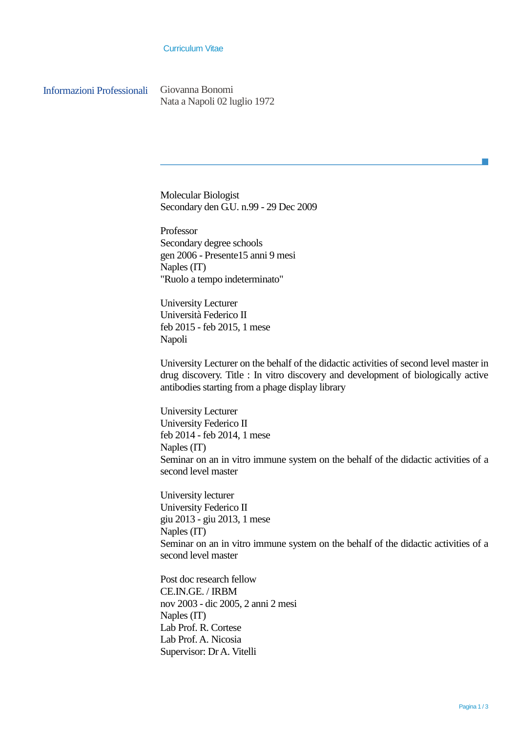## Curriculum Vitae

Informazioni Professionali Giovanna Bonomi

Nata a Napoli 02 luglio 1972

Molecular Biologist Secondary den G.U. n.99 - 29 Dec 2009

Professor Secondary degree schools gen 2006 - Presente15 anni 9 mesi Naples (IT) "Ruolo a tempo indeterminato"

University Lecturer Università Federico II feb 2015 - feb 2015, 1 mese Napoli

University Lecturer on the behalf of the didactic activities of second level master in drug discovery. Title : In vitro discovery and development of biologically active antibodies starting from a phage display library

University Lecturer University Federico II feb 2014 - feb 2014, 1 mese Naples (IT) Seminar on an in vitro immune system on the behalf of the didactic activities of a second level master

University lecturer University Federico II giu 2013 - giu 2013, 1 mese Naples (IT) Seminar on an in vitro immune system on the behalf of the didactic activities of a second level master

Post doc research fellow CE.IN.GE. / IRBM nov 2003 - dic 2005, 2 anni 2 mesi Naples (IT) Lab Prof. R. Cortese Lab Prof. A. Nicosia Supervisor: Dr A. Vitelli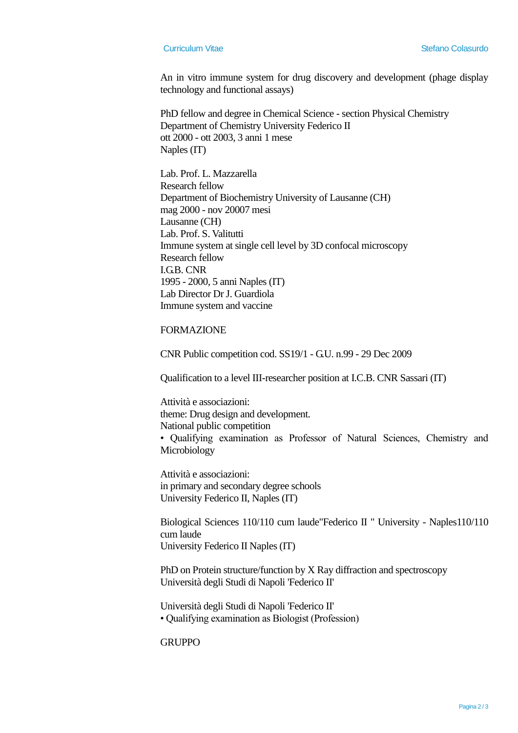An in vitro immune system for drug discovery and development (phage display technology and functional assays)

PhD fellow and degree in Chemical Science - section Physical Chemistry Department of Chemistry University Federico II ott 2000 - ott 2003, 3 anni 1 mese Naples (IT)

Lab. Prof. L. Mazzarella Research fellow Department of Biochemistry University of Lausanne (CH) mag 2000 - nov 20007 mesi Lausanne (CH) Lab. Prof. S. Valitutti Immune system at single cell level by 3D confocal microscopy Research fellow I.G.B. CNR 1995 - 2000, 5 anni Naples (IT) Lab Director Dr J. Guardiola Immune system and vaccine

## FORMAZIONE

CNR Public competition cod. SS19/1 - G.U. n.99 - 29 Dec 2009

Qualification to a level III-researcher position at I.C.B. CNR Sassari (IT)

Attività e associazioni: theme: Drug design and development. National public competition • Qualifying examination as Professor of Natural Sciences, Chemistry and Microbiology

Attività e associazioni: in primary and secondary degree schools University Federico II, Naples (IT)

Biological Sciences 110/110 cum laude"Federico II " University - Naples110/110 cum laude University Federico II Naples (IT)

PhD on Protein structure/function by X Ray diffraction and spectroscopy Università degli Studi di Napoli 'Federico II'

Università degli Studi di Napoli 'Federico II' • Qualifying examination as Biologist (Profession)

**GRUPPO**